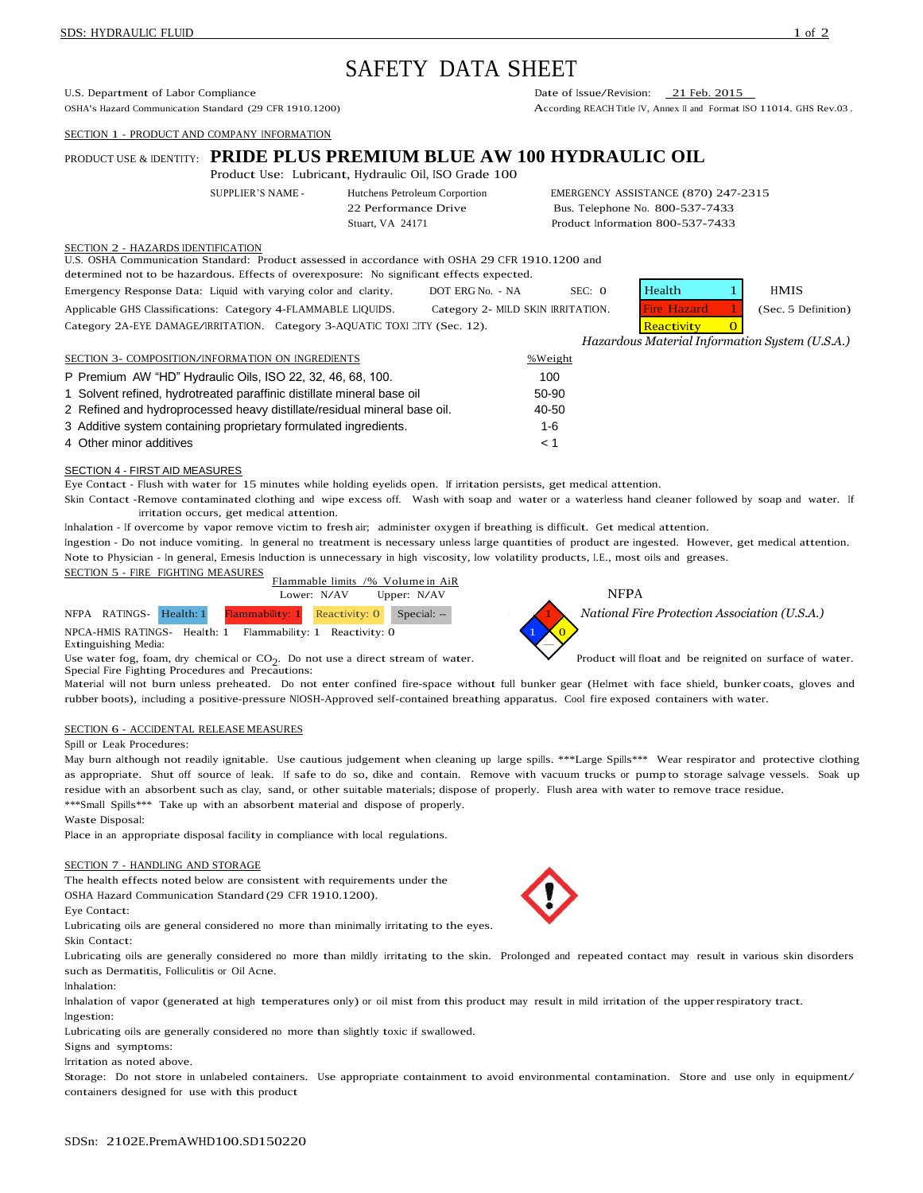# SAFETY DATA SHEET

U.S. Department of Labor Compliance<br>
OSHA's Hazard Communication Standard (29 CFR 1910.1200) Date of Issue/Revision: 21 Feb. 2015<br>
According REACH Title IV. Annex II and Format I

SECTION 1 - PRODUCT AND COMPANY INFORMATION

# PRODUCT USE & IDENTITY: **PRIDE PLUS PREMIUM BLUE AW 100 HYDRAULIC OIL**

Product Use: Lubricant, Hydraulic Oil, ISO Grade 100

SUPPLIER'S NAME - Hutchens Petroleum Corportion EMERGENCY ASSISTANCE (870) 247-2315 22 Performance Drive Bus. Telephone No. 800-537-7433 Stuart, VA 24171 Product Information 800-537-7433

According REACH Title IV, Annex II and Format ISO 11014. GHS Rev.03.

# SECTION 2 - HAZARDS IDENTIFICATION

U.S. OSHA Communication Standard: Product assessed in accordance with OSHA 29 CFR 1910.1200 and

determined not to be hazardous. Effects of overexposure: No significant effects expected.

Emergency Response Data: Liquid with varying color and clarity. DOT ERG No. - NA SEC: 0 He Applicable GHS Classifications: Category 4-FLAMMABLE LIQUIDS. Category 2- MILD SKIN IRRITATION. Category 2A-EYE DAMAGE/IRRITATION. Category 3-AQUATIC TOXI CITY (Sec. 12). Reactivity 0

| alth     | HMIS               |
|----------|--------------------|
| e Hazard | (Sec. 5 Definition |
|          |                    |

*Hazardous Material Information System (U.S.A.)*

| SECTION 3- COMPOSITION/INFORMATION ON INGREDIENTS                        | %Weight  |
|--------------------------------------------------------------------------|----------|
| P Premium AW "HD" Hydraulic Oils, ISO 22, 32, 46, 68, 100.               | 100      |
| 1 Solvent refined, hydrotreated paraffinic distillate mineral base oil   | 50-90    |
| 2 Refined and hydroprocessed heavy distillate/residual mineral base oil. | 40-50    |
| 3 Additive system containing proprietary formulated ingredients.         | 1-6      |
| 4 Other minor additives                                                  | $\leq 1$ |

# SECTION 4 - FIRST AID MEASURES

Eye Contact - Flush with water for 15 minutes while holding eyelids open. If irritation persists, get medical attention.

Skin Contact -Remove contaminated clothing and wipe excess off. Wash with soap and water or a waterless hand cleaner followed by soap and water. If irritation occurs, get medical attention.

Inhalation - If overcome by vapor remove victim to fresh air; administer oxygen if breathing is difficult. Get medical attention.

Ingestion - Do not induce vomiting. In general no treatment is necessary unless large quantities of product are ingested. However, get medical attention. Note to Physician - In general, Emesis Induction is unnecessary in high viscosity, low volatility products, I.E., most oils and greases.



 $NPCA$ -HMIS RATINGS- Health: 1 Flammability: 1 Reactivity: 0 Extinguishing Media:

Use water fog, foam, dry chemical or  $CO<sub>2</sub>$ . Do not use a direct stream of water. Special Fire Fighting Procedures and Precautions:



Product will float and be reignited on surface of water.

Material will not burn unless preheated. Do not enter confined fire-space without full bunker gear (Helmet with face shield, bunker coats, gloves and rubber boots), including <sup>a</sup> positive-pressure NIOSH-Approved self-contained breathing apparatus. Cool fire exposed containers with water.

# SECTION 6 - ACCIDENTAL RELEASE MEASURES

# Spill or Leak Procedures:

May burn although not readily ignitable. Use cautious judgement when cleaning up large spills. \*\*\*Large Spills\*\*\* Wear respirator and protective clothing as appropriate. Shut off source of leak. If safe to do so, dike and contain. Remove with vacuum trucks or pump to storage salvage vessels. Soak up residue with an absorbent such as clay, sand, or other suitable materials; dispose of properly. Flush area with water to remove trace residue. \*\*\*Small Spills\*\*\* Take up with an absorbent material and dispose of properly.

#### Waste Disposal:

Place in an appropriate disposal facility in compliance with local regulations.

### SECTION 7 - HANDLING AND STORAGE

The health effects noted below are consistent with requirements under the OSHA Hazard Communication Standard (29 CFR 1910.1200).

Eye Contact:

Lubricating oils are general considered no more than minimally irritating to the eyes. Skin Contact:

Lubricating oils are generally considered no more than mildly irritating to the skin. Prolonged and repeated contact may result in various skin disorders such as Dermatitis, Folliculitis or Oil Acne.

# Inhalation:

Inhalation of vapor (generated at high temperatures only) or oil mist from this product may result in mild irritation of the upperrespiratory tract. Ingestion:

Lubricating oils are generally considered no more than slightly toxic if swallowed.

Signs and symptoms:

Irritation as noted above.

Storage: Do not store in unlabeled containers. Use appropriate containment to avoid environmental contamination. Store and use only in equipment/ containers designed for use with this product